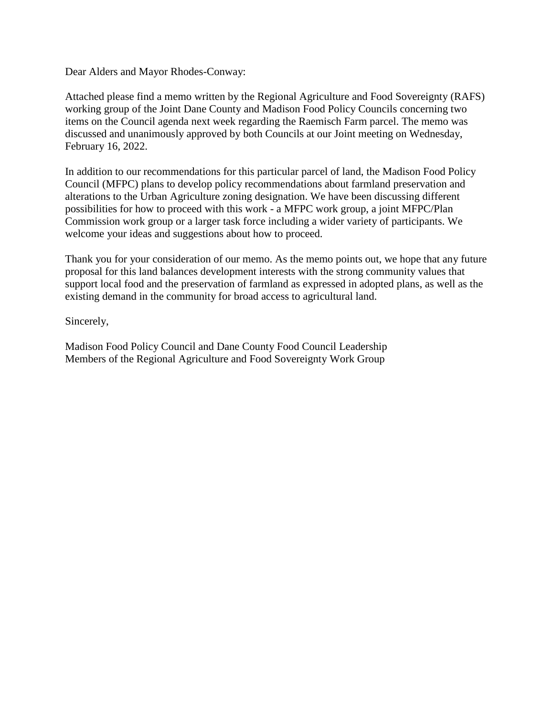Dear Alders and Mayor Rhodes-Conway:

Attached please find a memo written by the Regional Agriculture and Food Sovereignty (RAFS) working group of the Joint Dane County and Madison Food Policy Councils concerning two items on the Council agenda next week regarding the Raemisch Farm parcel. The memo was discussed and unanimously approved by both Councils at our Joint meeting on Wednesday, February 16, 2022.

In addition to our recommendations for this particular parcel of land, the Madison Food Policy Council (MFPC) plans to develop policy recommendations about farmland preservation and alterations to the Urban Agriculture zoning designation. We have been discussing different possibilities for how to proceed with this work - a MFPC work group, a joint MFPC/Plan Commission work group or a larger task force including a wider variety of participants. We welcome your ideas and suggestions about how to proceed.

Thank you for your consideration of our memo. As the memo points out, we hope that any future proposal for this land balances development interests with the strong community values that support local food and the preservation of farmland as expressed in adopted plans, as well as the existing demand in the community for broad access to agricultural land.

Sincerely,

Madison Food Policy Council and Dane County Food Council Leadership Members of the Regional Agriculture and Food Sovereignty Work Group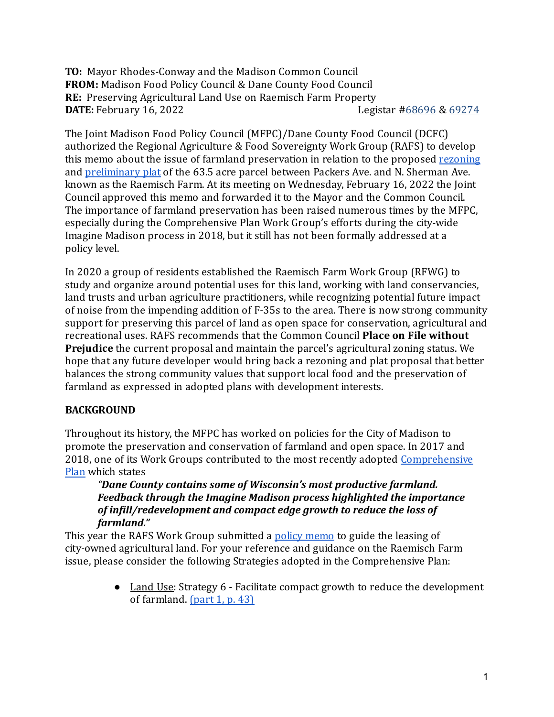**TO:** Mayor Rhodes-Conway and the Madison Common Council FROM: Madison Food Policy Council & Dane County Food Council **RE:** Preserving Agricultural Land Use on Raemisch Farm Property **DATE:** February 16, 2022 Legistar [#68696](https://madison.legistar.com/LegislationDetail.aspx?ID=5350928&GUID=29D851D6-3E92-49A6-AA21-0457AA77E5BC&Options=ID%7CText%7C&Search=raemisch) & [69274](https://madison.legistar.com/LegislationDetail.aspx?ID=5379534&GUID=3EE75293-21C4-40A5-AEBB-66B0FE52FDD9&Options=ID%7CText%7C&Search=raemisch)

The Joint Madison Food Policy Council (MFPC)/Dane County Food Council (DCFC) authorized the Regional Agriculture & Food Sovereignty Work Group (RAFS) to develop this memo about the issue of farmland preservation in relation to the proposed [rezoning](https://madison.legistar.com/LegislationDetail.aspx?ID=5379534&GUID=3EE75293-21C4-40A5-AEBB-66B0FE52FDD9&Options=ID%7CText%7C&Search=Raemisch) and [preliminary](https://madison.legistar.com/LegislationDetail.aspx?ID=5350928&GUID=29D851D6-3E92-49A6-AA21-0457AA77E5BC&Options=ID%7CText%7C&Search=Raemisch) plat of the 63.5 acre parcel between Packers Ave. and N. Sherman Ave. known as the Raemisch Farm. At its meeting on Wednesday, February 16, 2022 the Joint Council approved this memo and forwarded it to the Mayor and the Common Council. The importance of farmland preservation has been raised numerous times by the MFPC, especially during the Comprehensive Plan Work Group's efforts during the city-wide Imagine Madison process in 2018, but it still has not been formally addressed at a policy level.

In 2020 a group of residents established the Raemisch Farm Work Group (RFWG) to study and organize around potential uses for this land, working with land conservancies, land trusts and urban agriculture practitioners, while recognizing potential future impact of noise from the impending addition of F-35s to the area. There is now strong community support for preserving this parcel of land as open space for conservation, agricultural and recreational uses. RAFS recommends that the Common Council **Place on File without Prejudice** the current proposal and maintain the parcel's agricultural zoning status. We hope that any future developer would bring back a rezoning and plat proposal that better balances the strong community values that support local food and the preservation of farmland as expressed in adopted plans with development interests.

## **BACKGROUND**

Throughout its history, the MFPC has worked on policies for the City of Madison to promote the preservation and conservation of farmland and open space. In 2017 and 2018, one of its Work Groups contributed to the most recently adopted [Comprehensive](https://plan.imaginemadisonwi.com/) [Plan](https://plan.imaginemadisonwi.com/) which states

*"Dane County contains some of Wisconsin's most productive farmland.* Feedback through the Imagine Madison process highlighted the importance of infill/redevelopment and compact edge growth to reduce the loss of *farmland."*

This year the RAFS Work Group submitted a policy [memo](https://drive.google.com/file/d/12ht_rBqjIZ8iNjNJdkvgRyV8QcsH2N_3/view) to guide the leasing of city-owned agricultural land. For your reference and guidance on the Raemisch Farm issue, please consider the following Strategies adopted in the Comprehensive Plan:

> • Land Use: Strategy 6 - Facilitate compact growth to reduce the development of farmland. [\(part](https://plan.imaginemadisonwi.com/comprehensive-plan-part-1#33) 1, p. 43)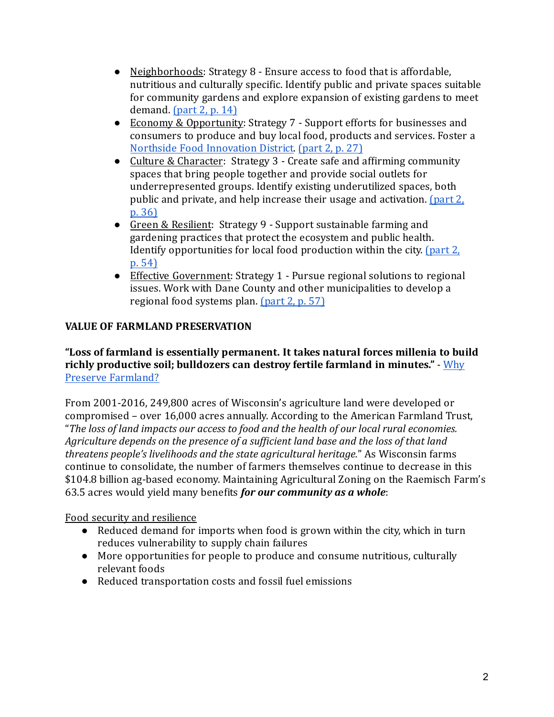- Neighborhoods: Strategy 8 Ensure access to food that is affordable, nutritious and culturally specific. Identify public and private spaces suitable for community gardens and explore expansion of existing gardens to meet demand. [\(part](https://plan.imaginemadisonwi.com/comprehensive-plan-part-2) 2, p. 14)
- Economy & Opportunity: Strategy 7 Support efforts for businesses and consumers to produce and buy local food, products and services. Foster a Northside Food [Innovation](https://www.cityofmadison.com/dpced/economicdevelopment/documents/Public%20Market%20District%20Context_Staff%20Supplement%20to%20Biz%20Plan_4_15_15.pdf) District. [\(part](https://plan.imaginemadisonwi.com/comprehensive-plan-part-2) 2, p. 27)
- Culture & Character: Strategy 3 Create safe and affirming community spaces that bring people together and provide social outlets for underrepresented groups. Identify existing underutilized spaces, both public and private, and help increase their usage and activation. [\(part](https://plan.imaginemadisonwi.com/comprehensive-plan-part-2) 2, p. [36\)](https://plan.imaginemadisonwi.com/comprehensive-plan-part-2)
- Green & Resilient: Strategy 9 Support sustainable farming and gardening practices that protect the ecosystem and public health. Identify opportunities for local food production within the city. [\(part](https://plan.imaginemadisonwi.com/comprehensive-plan-part-2) 2, p. [54\)](https://plan.imaginemadisonwi.com/comprehensive-plan-part-2)
- Effective Government: Strategy 1 Pursue regional solutions to regional issues. Work with Dane County and other municipalities to develop a regional food systems plan. [\(part](https://plan.imaginemadisonwi.com/comprehensive-plan-part-2) 2, p. 57)

# **VALUE OF FARMLAND PRESERVATION**

#### **"Loss of farmland is essentially permanent. It takes natural forces millenia to build richly productive soil; bulldozers can destroy fertile farmland in minutes."** - [Why](https://conservationtools.org/guides/147-why-preserve-farmland) Preserve [Farmland?](https://conservationtools.org/guides/147-why-preserve-farmland)

From 2001-2016, 249,800 acres of Wisconsin's agriculture land were developed or compromised – over 16,000 acres annually. According to the American Farmland Trust, "The loss of land *impacts our access to food and the health of our local rural economies.* Agriculture depends on the presence of a sufficient land base and the loss of that land *threatens people's livelihoods and the state agricultural heritage.*" As Wisconsin farms continue to consolidate, the number of farmers themselves continue to decrease in this \$104.8 billion ag-based economy. Maintaining Agricultural Zoning on the Raemisch Farm's 63.5 acres would yield many benefits *for our community as a whole*:

## Food security and resilience

- Reduced demand for imports when food is grown within the city, which in turn reduces vulnerability to supply chain failures
- More opportunities for people to produce and consume nutritious, culturally relevant foods
- Reduced transportation costs and fossil fuel emissions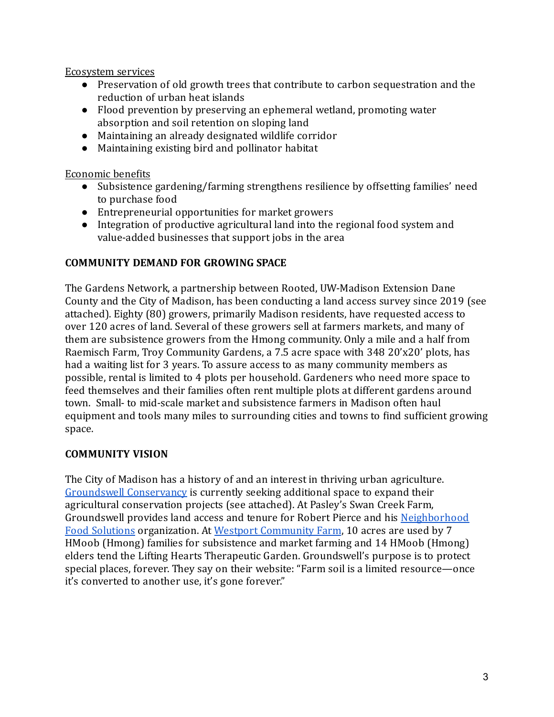Ecosystem services

- Preservation of old growth trees that contribute to carbon sequestration and the reduction of urban heat islands
- Flood prevention by preserving an ephemeral wetland, promoting water absorption and soil retention on sloping land
- Maintaining an already designated wildlife corridor
- Maintaining existing bird and pollinator habitat

Economic benefits

- Subsistence gardening/farming strengthens resilience by offsetting families' need to purchase food
- Entrepreneurial opportunities for market growers
- Integration of productive agricultural land into the regional food system and value-added businesses that support jobs in the area

#### **COMMUNITY DEMAND FOR GROWING SPACE**

The Gardens Network, a partnership between Rooted, UW-Madison Extension Dane County and the City of Madison, has been conducting a land access survey since 2019 (see attached). Eighty (80) growers, primarily Madison residents, have requested access to over 120 acres of land. Several of these growers sell at farmers markets, and many of them are subsistence growers from the Hmong community. Only a mile and a half from Raemisch Farm, Troy Community Gardens, a 7.5 acre space with 348 20'x20' plots, has had a waiting list for 3 years. To assure access to as many community members as possible, rental is limited to 4 plots per household. Gardeners who need more space to feed themselves and their families often rent multiple plots at different gardens around town. Small- to mid-scale market and subsistence farmers in Madison often haul equipment and tools many miles to surrounding cities and towns to ind suficient growing space.

#### **COMMUNITY VISION**

The City of Madison has a history of and an interest in thriving urban agriculture. Groundswell [Conservancy](https://groundswellconservancy.org/) is currently seeking additional space to expand their agricultural conservation projects (see attached). At Pasley's Swan Creek Farm, Groundswell provides land access and tenure for Robert Pierce and his [Neighborhood](https://www.nfsinc.org/aboutus/) Food [Solutions](https://www.nfsinc.org/aboutus/) organization. At Westport [Community](https://www.northsidenews.org/westport-farm-partnership-grows-land-security-for-hmong-farmers/) Farm, 10 acres are used by 7 HMoob (Hmong) families for subsistence and market farming and 14 HMoob (Hmong) elders tend the Lifting Hearts Therapeutic Garden. Groundswell's purpose is to protect special places, forever. They say on their website: "Farm soil is a limited resource—once it's converted to another use, it's gone forever."